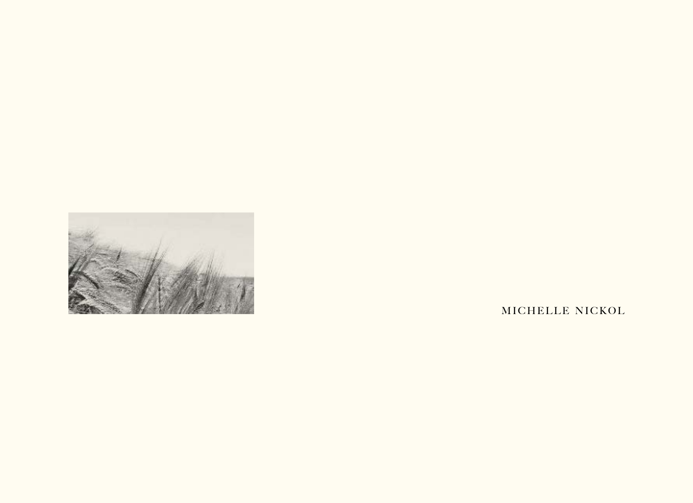

MICHELLE NICKOL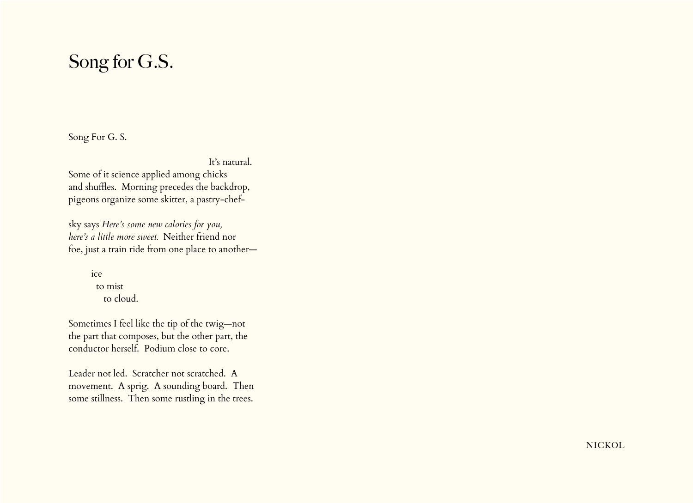## Song for G.S.

Song For G. S.

It's natural.

Some of it science applied among chicks and shuffles. Morning precedes the backdrop, pigeons organize some skitter, a pastry-chef-

sky says *Here's some new calories for you, here's a little more sweet.* Neither friend nor foe, just a train ride from one place to another—

> ice to mist to cloud.

Sometimes I feel like the tip of the twig—not the part that composes, but the other part, the conductor herself. Podium close to core.

Leader not led. Scratcher not scratched. A movement. A sprig. A sounding board. Then some stillness. Then some rustling in the trees.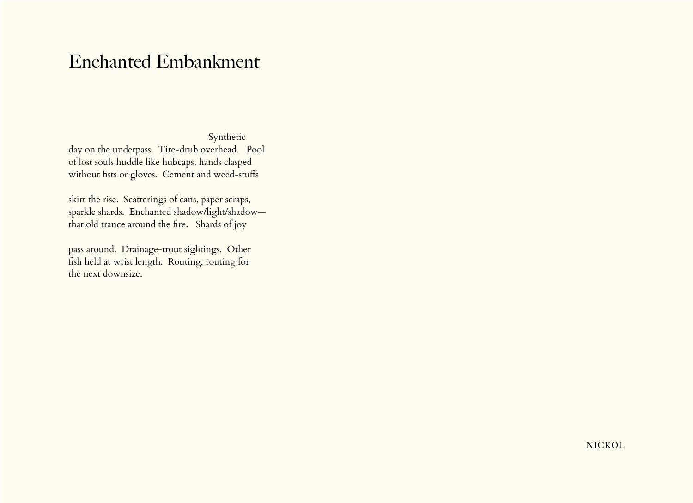### Enchanted Embankment

Synthetic day on the underpass. Tire-drub overhead. Pool of lost souls huddle like hubcaps, hands clasped without fists or gloves. Cement and weed-stuffs

skirt the rise. Scatterings of cans, paper scraps, sparkle shards. Enchanted shadow/light/shadow that old trance around the fire. Shards of joy

pass around. Drainage-trout sightings. Other fish held at wrist length. Routing, routing for the next downsize.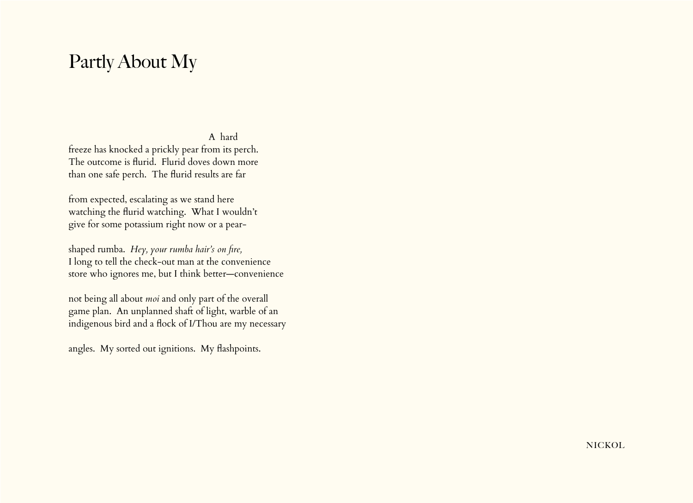## Partly About My

#### A hard

freeze has knocked a prickly pear from its perch. The outcome is flurid. Flurid doves down more than one safe perch. The flurid results are far

from expected, escalating as we stand here watching the flurid watching. What I wouldn't give for some potassium right now or a pear-

shaped rumba. *Hey, your rumba hair's on fire,* I long to tell the check-out man at the convenience store who ignores me, but I think better—convenience

not being all about *moi* and only part of the overall game plan. An unplanned shaft of light, warble of an indigenous bird and a flock of I/Thou are my necessary

angles. My sorted out ignitions. My flashpoints.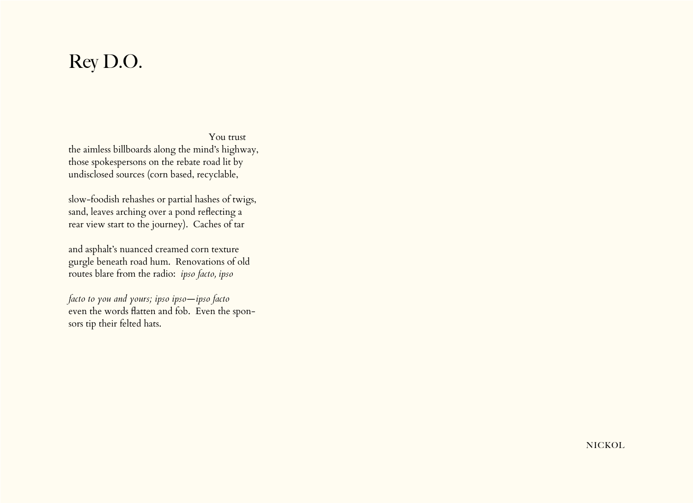# Rey D.O.

 You trust the aimless billboards along the mind's highway, those spokespersons on the rebate road lit by undisclosed sources (corn based, recyclable,

slow-foodish rehashes or partial hashes of twigs, sand, leaves arching over a pond reflecting a rear view start to the journey). Caches of tar

and asphalt's nuanced creamed corn texture gurgle beneath road hum. Renovations of old routes blare from the radio: *ipso facto, ipso* 

*facto to you and yours; ipso ipso—ipso facto*  even the words flatten and fob. Even the sponsors tip their felted hats.